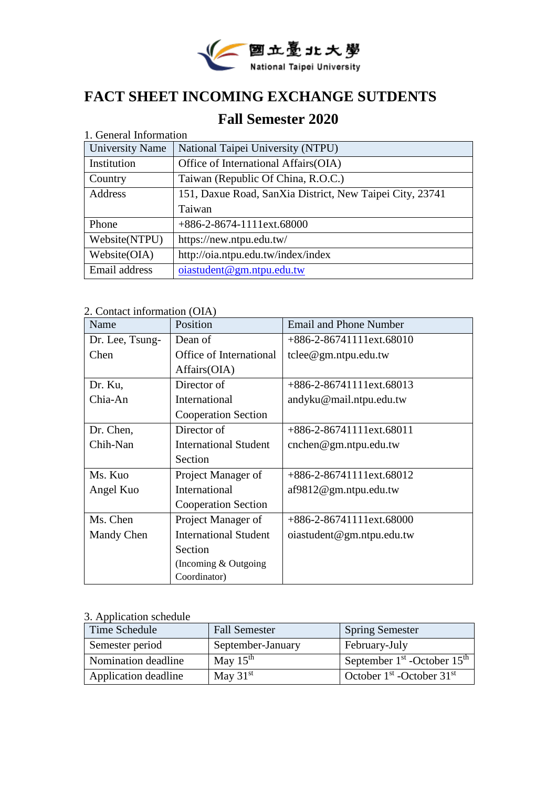

# **FACT SHEET INCOMING EXCHANGE SUTDENTS**

# **Fall Semester 2020**

| 1. General Information |                                                          |
|------------------------|----------------------------------------------------------|
| <b>University Name</b> | National Taipei University (NTPU)                        |
| Institution            | Office of International Affairs (OIA)                    |
| Country                | Taiwan (Republic Of China, R.O.C.)                       |
| Address                | 151, Daxue Road, SanXia District, New Taipei City, 23741 |
|                        | Taiwan                                                   |
| Phone                  | +886-2-8674-1111ext.68000                                |
| Website(NTPU)          | https://new.ntpu.edu.tw/                                 |
| Website(OIA)           | http://oia.ntpu.edu.tw/index/index                       |
| Email address          | oia student@gm. ntpu.edu.tw                              |

2. Contact information (OIA)

| Name            | Position                     | <b>Email and Phone Number</b>            |
|-----------------|------------------------------|------------------------------------------|
| Dr. Lee, Tsung- | Dean of                      | $+886-2-86741111$ ext.68010              |
| Chen            | Office of International      | $t$ clee@gm.ntpu.edu.tw                  |
|                 | Affairs(OIA)                 |                                          |
| Dr. Ku,         | Director of                  | $+886-2-86741111$ ext.68013              |
| Chia-An         | International                | andyku@mail.ntpu.edu.tw                  |
|                 | <b>Cooperation Section</b>   |                                          |
| Dr. Chen,       | Director of                  | $+886-2-86741111$ ext.68011              |
| Chih-Nan        | <b>International Student</b> | $\text{cnchen} @ \text{gm.}$ ntpu.edu.tw |
|                 | Section                      |                                          |
| Ms. Kuo         | Project Manager of           | $+886-2-86741111$ ext.68012              |
| Angel Kuo       | <b>International</b>         | af9812@gm.ntpu.edu.tw                    |
|                 | <b>Cooperation Section</b>   |                                          |
| Ms. Chen        | Project Manager of           | $+886-2-86741111 \text{ext}.68000$       |
| Mandy Chen      | <b>International Student</b> | oiastudent@gm.ntpu.edu.tw                |
|                 | Section                      |                                          |
|                 | (Incoming & Outgoing)        |                                          |
|                 | Coordinator)                 |                                          |

#### 3. Application schedule

| Time Schedule        | <b>Fall Semester</b> | <b>Spring Semester</b>          |
|----------------------|----------------------|---------------------------------|
| Semester period      | September-January    | February-July                   |
| Nomination deadline  | May $15th$           | September $1st$ -October $15th$ |
| Application deadline | May $31st$           | October $1st$ -October $31st$   |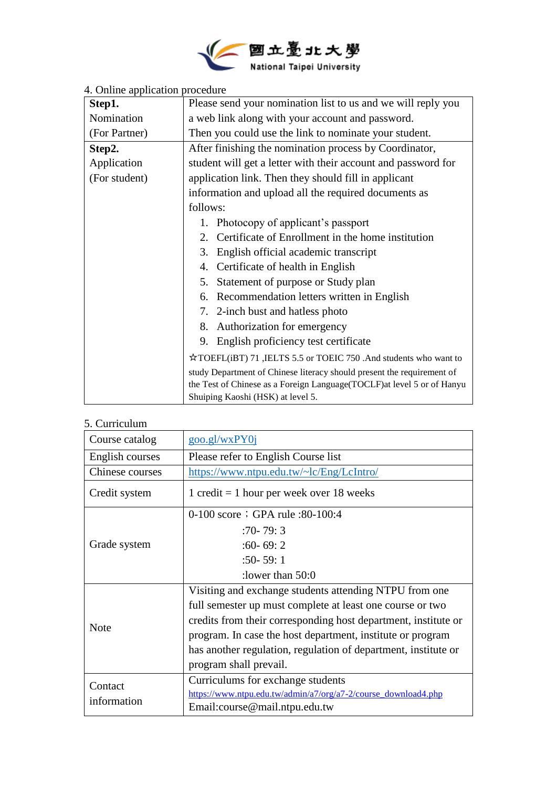

| Step1.        | Please send your nomination list to us and we will reply you           |  |
|---------------|------------------------------------------------------------------------|--|
| Nomination    | a web link along with your account and password.                       |  |
| (For Partner) | Then you could use the link to nominate your student.                  |  |
| Step2.        | After finishing the nomination process by Coordinator,                 |  |
| Application   | student will get a letter with their account and password for          |  |
| (For student) | application link. Then they should fill in applicant                   |  |
|               | information and upload all the required documents as                   |  |
|               | follows:                                                               |  |
|               | 1. Photocopy of applicant's passport                                   |  |
|               | 2. Certificate of Enrollment in the home institution                   |  |
|               | 3. English official academic transcript                                |  |
|               | 4. Certificate of health in English                                    |  |
|               | 5. Statement of purpose or Study plan                                  |  |
|               | 6. Recommendation letters written in English                           |  |
|               | 7. 2-inch bust and hatless photo                                       |  |
|               | 8. Authorization for emergency                                         |  |
|               | 9. English proficiency test certificate                                |  |
|               | ☆TOEFL(iBT) 71 ,IELTS 5.5 or TOEIC 750 .And students who want to       |  |
|               | study Department of Chinese literacy should present the requirement of |  |
|               | the Test of Chinese as a Foreign Language(TOCLF)at level 5 or of Hanyu |  |
|               | Shuiping Kaoshi (HSK) at level 5.                                      |  |

#### 4. Online application procedure

#### 5. Curriculum

| Course catalog  | goo.gl/wxPY0i                                                       |  |
|-----------------|---------------------------------------------------------------------|--|
| English courses | Please refer to English Course list                                 |  |
| Chinese courses | https://www.ntpu.edu.tw/~lc/Eng/LcIntro/                            |  |
| Credit system   | $1 \text{ credit} = 1 \text{ hour per week over } 18 \text{ weeks}$ |  |
|                 | 0-100 score ; GPA rule : 80-100:4                                   |  |
|                 | $:70 - 79:3$                                                        |  |
| Grade system    | $:60 - 69:2$                                                        |  |
|                 | $:50 - 59:1$                                                        |  |
|                 | : lower than $50:0$                                                 |  |
|                 | Visiting and exchange students attending NTPU from one              |  |
|                 | full semester up must complete at least one course or two           |  |
| <b>Note</b>     | credits from their corresponding host department, institute or      |  |
|                 | program. In case the host department, institute or program          |  |
|                 | has another regulation, regulation of department, institute or      |  |
|                 | program shall prevail.                                              |  |
| Contact         | Curriculums for exchange students                                   |  |
| information     | https://www.ntpu.edu.tw/admin/a7/org/a7-2/course_download4.php      |  |
|                 | Email:course@mail.ntpu.edu.tw                                       |  |